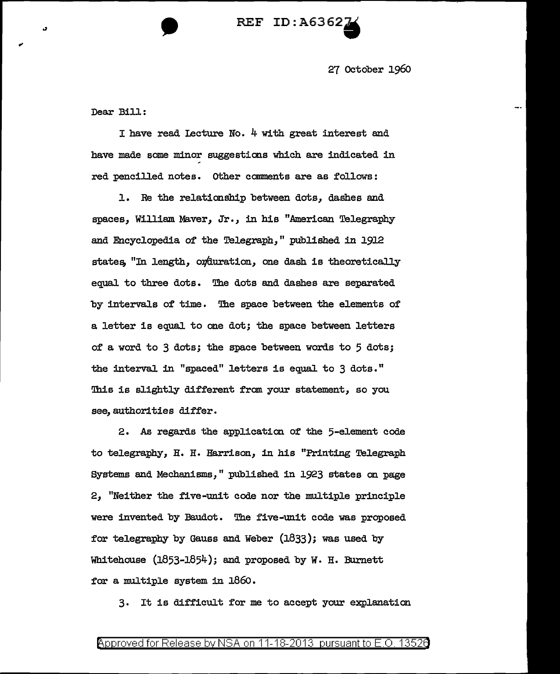

27 October 196o

Dear Bi11:

I have read Iecture No.  $4$  with great interest and have made some minor suggestions which are indicated in red pencilled notes. Other comments are as follows:

1. Re the relationship between dots, dashes and spaces, William Maver, Jr., in his "American Telegraphy and Encyclopedia of the Telegraph, " published in 1912 states, "In length, orduration, one dash is theoretically equal to three dots. The dots and dashes are separated by intervals of time. The space between the elements of a letter is equal. to one dot; the space between letters of a word to 3 dots; the space between words to 5 dots; the interval. in "spaced" letters is equal to 3 dots." This is slightly different from your statement, so you see, authorities differ.

2. As regards the application of the 5-element code to telegraphy, H. H. Harrison, in his "Printing Telegraph Systems and Mechanisms," published in 1923 states on page 2, "Neither the five-unit code nor the multiple principle were invented by Baudot. The five-unit code was proposed for telegraphy by Gauss and Weber (1833); was used by Whitehouse (1853-1854); and proposed by w. H. Burnett for a multiple system in  $1860$ .

3. It is difficult for me to accept your explanation

## Approved for Release by NSA on 11-18-2013 pursuant to E.O. 1352e